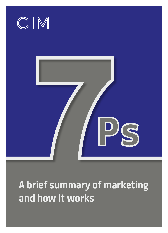

**A brief summary of marketing and how it works**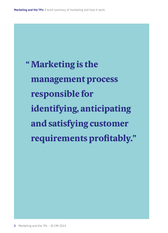" Marketing is the management process responsible for identifying, anticipating and satisfying customer requirements profitably."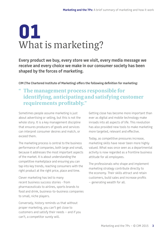### **01** What is marketing?

**Every product we buy, every store we visit, every media message we receive and every choice we make in our consumer society has been shaped by the forces of marketing.** 

**CIM (The Chartered Institute of Marketing) offers the following definition for marketing:** 

### " The management process responsible for identifying, anticipating and satisfying customer requirements profitably."

Sometimes people assume marketing is just about advertising or selling, but this is not the whole story. It is a key management discipline that ensures producers of goods and services can interpret consumer desires and match, or exceed them.

The marketing process is central to the business performance of companies, both large and small, because it addresses the most important aspects of the market. It is about understanding the competitive marketplace and ensuring you can tap into key trends, reaching consumers with the right product at the right price, place and time.

Clever marketing has led to many recent business success stories - from pharmaceuticals to airlines, sports brands to food and drink, business-to-business companies to small, niche players.

Conversely, history reminds us that without proper marketing, you can't get close to customers and satisfy their needs – and if you can't, a competitor surely will.

Getting close has become more important than ever as digital and mobile technology make inroads into all aspects of life. This revolution has also provided new tools to make marketing more targeted, relevant and effective.

Today, as competitive pressures increase, marketing skills have never been more highly valued. What was once seen as a departmental activity is now regarded as a frontline business attitude for all employees.

The professionals who shape and implement marketing strategy contribute directly to the economy. Their skills attract and retain customers, build sales and increase profits – generating wealth for all.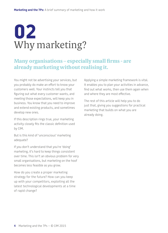## **02** Why marketing?

#### Many organisations – especially small firms - are already marketing without realising it.

You might not be advertising your services, but you probably do make an effort to know your customers well. Your instincts tell you that figuring out what every customer wants, and meeting those expectations, will keep you in business. You know that you need to improve and extend existing products, and sometimes develop new ones.

If this description rings true, your marketing activity closely fits the classic definition used by CIM.

But is this kind of 'unconscious' marketing adequate?

If you don't understand that you're 'doing' marketing, it's hard to keep things consistent over time. This isn't an obvious problem for very small organisations, but marketing on the hoof becomes less feasible as you grow.

How do you create a proper marketing strategy for the future? How can you keep up with your competitors, exploiting all the latest technological developments at a time of rapid change?

Applying a simple marketing framework is vital. It enables you to plan your activities in advance, find out what works, then use them again when and where they are most effective.

The rest of this article will help you to do just that, giving you suggestions for practical marketing that builds on what you are already doing.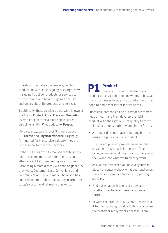It deals with what a company is going to produce; how much it is going to charge; how it is going to deliver products or services to the customer; and how it is going to tell its customers about its products and services.

Traditionally, these considerations were known as the 4Ps — **Product**, **Price**, **Place** and **Promotion**. As marketing became a more sophisticated discipline, a fifth 'P' was added — **People**.

More recently, two further 'P's were added — **Process** and **Physical evidence**. Originally formulated for the service industry, they are just as important in other sectors.

In the 1990s, as experts realised that business had to become more customer-centric, an alternative '4 Cs' of marketing was proposed. Correlating almost directly with the original 4PS, they were: Customer, Cost, Convenience and Communication. The 7Ps model, however, has endured and more than adequately incorporates today's customer-first marketing world.

**P1 Product** There is no point in developing a product or service that no one wants to buy, yet many businesses decide what to offer first, then hope to find a market for it afterwards.

Successful companies find out what customers need or want and then develop the right product with the right level of quality to meet their expectations, both now and in the future.

- A product does not have to be tangible an insurance policy can be a product.
- The perfect product provides value for the customer. This value is in the eye of the beholder — we must give our customers what they want, not what we think they want.
- Ask yourself whether you have a system in place to regularly check what your customers think of your product and your supporting services.
- Find out what their needs are now and whether they believe these will change in future.
- Beware the product quality trap don't take it too far by trying to sell a Rolls-Royce when the customer really wants a Nissan Micra.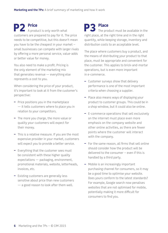**P2** Price<br>A product is only worth what customers are prepared to pay for it. The price needs to be competitive, but this doesn't mean you have to be the cheapest in your market – small businesses can compete with larger rivals by offering a more personal service, value-adds or better value for money.

You also need to make a profit. Pricing is the only element of the marketing mix that generates revenue — everything else represents a cost to you.

When considering the price of your product, it's important to look at it from the customer's perspective:

- Price positions you in the marketplace — it tells customers where to place you in relation to your competitors.
- The more you charge, the more value or quality your customers will expect for their money.
- This is a relative measure. If you are the most expensive provider in your market, customers will expect you to provide a better service.
- Everything that the customer sees must be consistent with these higher quality expectations — packaging, environment, promotional materials, website, letterheads, invoices, etc.
- Existing customers are generally less sensitive about price than new customers — a good reason to look after them well.

**P3** Place<br>The product must be available in the right place, at the right time and in the right quantity, while keeping storage, inventory and distribution costs to an acceptable level.

The place where customers buy a product, and the means of distributing your product to that place, must be appropriate and convenient for the customer. This applies to brick-and-mortar operations, but is even more important in e-commerce.

- Customer surveys show that delivery performance is one of the most important criteria when choosing a supplier.
- Place also means ways of displaying your product to customer groups. This could be in a shop window, but it could also be online.
- E-commerce operations that sell exclusively on the internet must place even more emphasis on the company website and other online activities, as there are fewer points where the customer will interact with the company.
- For the same reason, all firms that sell online should consider how the product will be delivered to the consumer – even if this is handled by a third party.
- Mobile is an increasingly important purchasing channel for consumers, so it may be a good time to optimise your website. Does yours conform to the latest standards? For example, Google search now penalises websites that are not optimised for mobile, potentially making it more difficult for consumers to find you.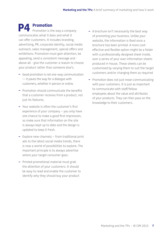### **P4 Promotion**

Promotion is the way a company communicates what it does and what it can offer customers. It includes branding, advertising, PR, corporate identity, social media outreach, sales management, special offers and exhibitions. Promotion must gain attention, be appealing, send a consistent message and above all - give the customer a reason to choose your product rather than someone else's.

- Good promotion is not one-way communication — it paves the way for a dialogue with customers, whether in person or online.
- Promotion should communicate the benefits that a customer receives from a product, not just its features.
- Your website is often the customer's first experience of your company – you only have one chance to make a good first impression, so make sure that information on the site is always kept up to date and the design is updated to keep it fresh.
- Explore new channels from traditional print ads to the latest social media trends, there is now a world of possibilities to explore. The important principle is to always advertise where your target consumer goes.
- Printed promotional material must grab the attention of your customers. It should be easy to read and enable the customer to identify why they should buy your product
- A brochure isn't necessarily the best way of promoting your business. Unlike your website, the information is fixed once a brochure has been printed. A more costeffective and flexible option might be a folder with a professionally designed sheet inside, over a series of your own information sheets produced in-house. These sheets can be customised by varying them to suit the target customers and/or changing them as required
- Promotion does not just mean communicating with your customers. It is just as important to communicate with staff/fellow employees about the value and attributes of your products. They can then pass on the knowledge to their customers.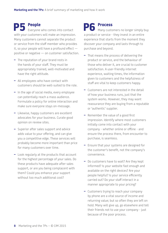**P5 People** Everyone who comes into contact with your customers will make an impression. Many customers cannot separate the product or service from the staff member who provides it, so your people will have a profound effect positive or negative — on customer satisfaction.

- The reputation of your brand rests in the hands of your staff. They must be appropriately trained, well-motivated and have the right attitude.
- All employees who have contact with customers should be well-suited to the role.
- In the age of social media, every employee can potentially reach a mass audience. Formulate a policy for online interaction and make sure everyone stays on-message.
- Likewise, happy customers are excellent advocates for your business. Curate good opinion on review sites.
- Superior after sales support and advice adds value to your offering, and can give you a competitive edge. These services will probably become more important than price for many customers over time.
- Look regularly at the products that account for the highest percentage of your sales. Do these products have adequate after sales support, or are you being complacent with them? Could you enhance your support without too much additional cost?

**P6 Process Many customers no longer simply buy** a product or service - they invest in an entire experience that starts from the moment they discover your company and lasts through to purchase and beyond.

- That means the process of delivering the product or service, and the behaviour of those who deliver it, are crucial to customer satisfaction. A user-friendly internet experience, waiting times, the information given to customers and the helpfulness of staff are vital to keep customers happy.
- Customers are not interested in the detail of how your business runs, just that the system works. However, they may want reassurance they are buying from a reputable or 'authentic' supplier.
- Remember the value of a good first impression. Identify where most customers initially come into contact with your company - whether online or offline - and ensure the process there, from encounter to purchase, is seamless.
- Ensure that your systems are designed for the customer's benefit, not the company's convenience.
- Do customers have to wait? Are they kept informed? Is your website fast enough and available on the right devices? Are your people helpful? Is your service efficiently carried out? Do your staff interact in a manner appropriate to your pricing?
- Customers trying to reach your company by phone are a vital source of income and returning value; but so often they are left on hold. Many will give up, go elsewhere and tell their friends not to use your company - just because of the poor process.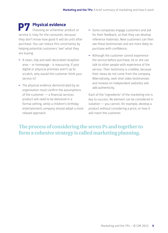**P7 Physical evidence**  Choosing an unfamiliar product or service is risky for the consumer, because they don't know how good it will be until after purchase. You can reduce this uncertainty by helping potential customers 'see' what they are buying.

- A clean, tidy and well-decorated reception area – or homepage - is reassuring. If your digital or physical premises aren't up to scratch, why would the customer think your service is?
- The physical evidence demonstrated by an organisation must confirm the assumptions of the customer — a financial services product will need to be delivered in a formal setting, while a children's birthday entertainment company should adopt a more relaxed approach.
- Some companies engage customers and ask for their feedback, so that they can develop reference materials. New customers can then see these testimonials and are more likely to purchase with confidence.
- Although the customer cannot experience the service before purchase, he or she can talk to other people with experience of the service. Their testimony is credible, because their views do not come from the company. Alternatively, well-shot video testimonials and reviews on independent websites will add authenticity.

Each of the 'ingredients' of the marketing mix is key to success. No element can be considered in isolation — you cannot, for example, develop a product without considering a price, or how it will reach the customer.

#### The process of considering the seven Ps and together to form a cohesive strategy is called marketing planning.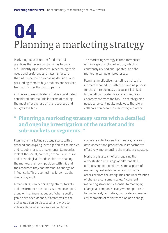# **04** Planning a marketing strategy

Marketing focuses on the fundamental practices that every company has to carry out - identifying customers, researching their needs and preferences, analysing factors that influence their purchasing decisions and persuading them to buy products and services from you rather than a competitor.

All this requires a strategy that is coordinated, considered and realistic in terms of making the most effective use of the resources and budgets available.

The marketing strategy is then formalised within a specific plan of action, which is constantly revised and updated, and the marketing campaign progresses.

Planning an effective marketing strategy is intimately bound up with the planning process for the entire business, because it is linked to overall corporate strategy and requires endorsement from the top. The strategy also needs to be continually reviewed. Therefore, collaboration between marketing and other

### " Planning a marketing strategy starts with a detailed and ongoing investigation of the market and its sub-markets or segments. "

Planning a marketing strategy starts with a detailed and ongoing investigation of the market and its sub-markets or segments. Companies look at the social, political, economic, cultural and technological trends which are shaping the market, their own position within it and the resources they can marshal to change or influence it. This is sometimes known as the marketing audit.

A marketing plan defining objectives, targets and performance measures is then developed, along with a financial budget. When specific goals have been defined, alternatives to the status quo can be discussed, and ways to achieve those alternatives can be chosen.

corporate activities such as finance, research, development and production, is important to effectively implementing the marketing strategy.

Marketing is a team effort requiring the orchestration of a range of different skills, outlooks and personalities. Some aspects of marketing deal solely in facts and finance; others explore the ambiguities and uncertainties of changing consumer styles. A coherent marketing strategy is essential to managing change, as companies everywhere operate in technological, legislative, corporate and market environments of rapid transition and change.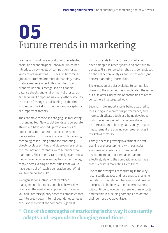### **05** Future trends in marketing

We live and work in a world of unprecedented social and technological upheaval, which has introduced new levels of competition for all kinds of organisations. Business is becoming global, customers are more demanding, many mature markets offer little room for growth, brand valuation is recognised on financial balance sheets and environmental pressures are growing. Compounding every other difficulty, the pace of change is quickening all the time – speed of market introduction and acceptance are important factors.

The economic context is changing, so marketing is changing too. New social trends and corporate structures have opened up fresh avenues of opportunity for marketers to become even more central to business success. Only recently, technologies including database marketing, direct-to-plate printing and video-conferencing, the Internet and intranets were buzzwords for marketers. Since then, viral campaigns and social media have become everyday terms. Technology today offers exciting opportunities that would have been out of reach a generation ago. What will tomorrow look like?

As organisations introduce streamlined management hierarchies and flexible working practices, the marketing approach is proving a valuable interdisciplinary asset to companies that want to break down internal boundaries to focus exclusively on what the company is good at.

Distinct trends for the future of marketing have emerged in recent years, and continue to develop. First, renewed emphasis is being placed on the collection, analysis and use of more (and better) marketing information.

The explosion of data available to companies thanks to the internet has complicated the issue, but also offers incredible opportunities to reach consumers in a targeted way.

Second, more importance is being attached to measuring and monitoring performance, and more sophisticated tools are being developed to do the job as part of the general drive to be more accountable. 'Big data', analytics and measurement are playing ever greater roles in marketing strategy.

Thirdly, there is growing investment in staff training and development, with particular emphasis on continuing professional development so that companies can more effectively defend the competitive advantage that successful marketing gives them.

One of the strengths of marketing is the way it constantly adapts and responds to changing conditions. Though our changing world creates unexpected challenges, the modern marketer will continue to overcome them with new tools and techniques, helping companies to defend their competitive advantage.

#### " One of the strengths of marketing is the way it constantly adapts and responds to changing conditions."